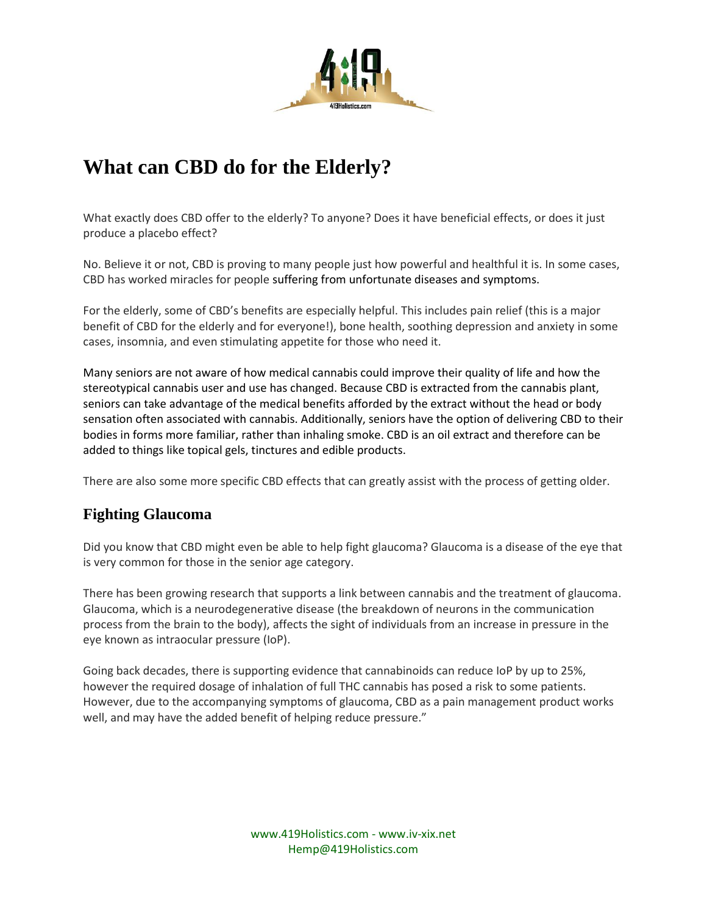

# **What can CBD do for the Elderly?**

What exactly does CBD offer to the elderly? To anyone? Does it have beneficial effects, or does it just produce a placebo effect?

No. Believe it or not, CBD is proving to many people just how powerful and healthful it is. In some cases, CBD has worked miracles for people suffering from unfortunate diseases and symptoms.

For the elderly, some of CBD's benefits are especially helpful. This includes pain relief (this is a major benefit of CBD for the elderly and for everyone!), bone health, soothing depression and anxiety in some cases, insomnia, and even stimulating appetite for those who need it.

Many seniors are not aware of how medical cannabis could improve their quality of life and how the stereotypical cannabis user and use has changed. Because CBD is extracted from the cannabis plant, seniors can take advantage of the medical benefits afforded by the extract without the head or body sensation often associated with cannabis. Additionally, seniors have the option of delivering CBD to their bodies in forms more familiar, rather than inhaling smoke. CBD is an oil extract and therefore can be added to things like topical gels, tinctures and edible products.

There are also some more specific CBD effects that can greatly assist with the process of getting older.

#### **Fighting Glaucoma**

Did you know that CBD might even be able to help fight glaucoma? Glaucoma is a disease of the eye that is very common for those in the senior age category.

There has been growing research that supports a link between cannabis and the treatment of glaucoma. Glaucoma, which is a neurodegenerative disease (the breakdown of neurons in the communication process from the brain to the body), affects the sight of individuals from an increase in pressure in the eye known as intraocular pressure (IoP).

Going back decades, there is supporting evidence that cannabinoids can reduce IoP by up to 25%, however the required dosage of inhalation of full THC cannabis has posed a risk to some patients. However, due to the accompanying symptoms of glaucoma, CBD as a pain management product works well, and may have the added benefit of helping reduce pressure."

> www.419Holistics.com - www.iv-xix.net Hemp@419Holistics.com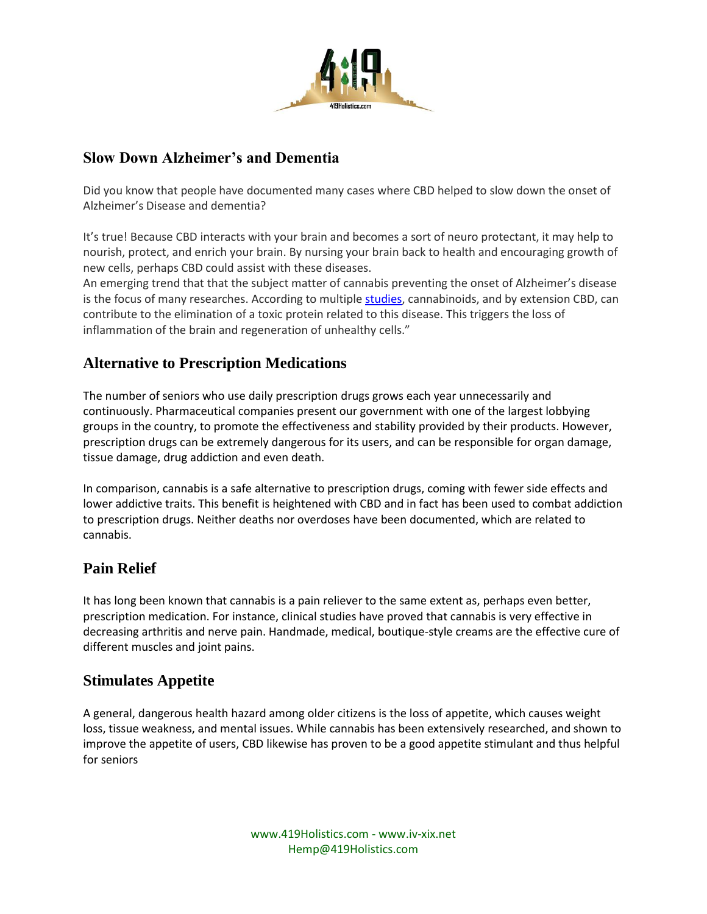

# **Slow Down Alzheimer's and Dementia**

Did you know that people have documented many cases where CBD helped to slow down the onset of Alzheimer's Disease and dementia?

It's true! Because CBD interacts with your brain and becomes a sort of neuro protectant, it may help to nourish, protect, and enrich your brain. By nursing your brain back to health and encouraging growth of new cells, perhaps CBD could assist with these diseases.

An emerging trend that that the subject matter of cannabis preventing the onset of Alzheimer's disease is the focus of many researches. According to multiple [studies,](https://scholar.google.com/scholar?q=cannabis+and+alzheimer%27s&hl=en&as_sdt=0&as_vis=1&oi=scholart) cannabinoids, and by extension CBD, can contribute to the elimination of a toxic protein related to this disease. This triggers the loss of inflammation of the brain and regeneration of unhealthy cells."

### **Alternative to Prescription Medications**

The number of seniors who use daily prescription drugs grows each year unnecessarily and continuously. Pharmaceutical companies present our government with one of the largest lobbying groups in the country, to promote the effectiveness and stability provided by their products. However, prescription drugs can be extremely dangerous for its users, and can be responsible for organ damage, tissue damage, drug addiction and even death.

In comparison, cannabis is a safe alternative to prescription drugs, coming with fewer side effects and lower addictive traits. This benefit is heightened with CBD and in fact has been used to combat addiction to prescription drugs. Neither deaths nor overdoses have been documented, which are related to cannabis.

### **Pain Relief**

It has long been known that cannabis is a pain reliever to the same extent as, perhaps even better, prescription medication. For instance, clinical studies have proved that cannabis is very effective in decreasing arthritis and nerve pain. Handmade, medical, boutique-style creams are the effective cure of different muscles and joint pains.

### **Stimulates Appetite**

A general, dangerous health hazard among older citizens is the loss of appetite, which causes weight loss, tissue weakness, and mental issues. While cannabis has been extensively researched, and shown to improve the appetite of users, CBD likewise has proven to be a good appetite stimulant and thus helpful for seniors